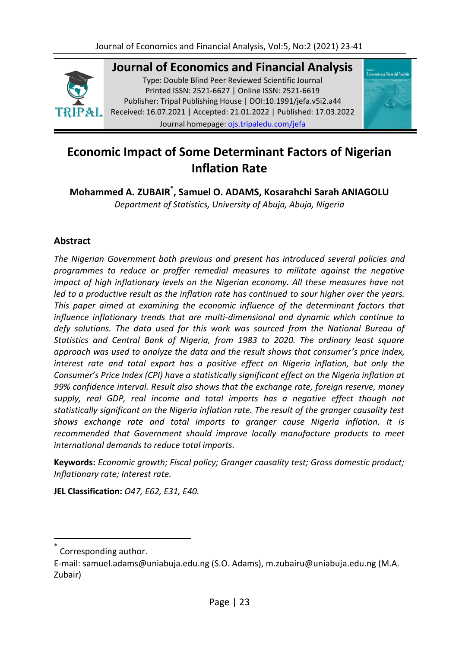

**Journal of Economics and Financial Analysis**

Type: Double Blind Peer Reviewed Scientific Journal Printed ISSN: 2521-6627 | Online ISSN: 2521-6619 Publisher: Tripal Publishing House | DOI:10.1991/jefa.v5i2.a44 Received: 16.07.2021 | Accepted: 21.01.2022 | Published: 17.03.2022 Journal homepage: [ojs.tripaledu.com/jefa](file:///C:/Users/DELL/AppData/Roaming/Microsoft/Word/www.ojs.tripaledu.com/jefa)



## **Economic Impact of Some Determinant Factors of Nigerian Inflation Rate**

**Mohammed A. ZUBAIR\* , Samuel O. ADAMS, Kosarahchi Sarah ANIAGOLU**  *Department of Statistics, University of Abuja, Abuja, Nigeria* 

## **Abstract**

*The Nigerian Government both previous and present has introduced several policies and programmes to reduce or proffer remedial measures to militate against the negative impact of high inflationary levels on the Nigerian economy. All these measures have not led to a productive result as the inflation rate has continued to sour higher over the years. This paper aimed at examining the economic influence of the determinant factors that influence inflationary trends that are multi-dimensional and dynamic which continue to defy solutions. The data used for this work was sourced from the National Bureau of Statistics and Central Bank of Nigeria, from 1983 to 2020. The ordinary least square approach was used to analyze the data and the result shows that consumer's price index, interest rate and total export has a positive effect on Nigeria inflation, but only the Consumer's Price Index (CPI) have a statistically significant effect on the Nigeria inflation at 99% confidence interval. Result also shows that the exchange rate, foreign reserve, money supply, real GDP, real income and total imports has a negative effect though not statistically significant on the Nigeria inflation rate. The result of the granger causality test shows exchange rate and total imports to granger cause Nigeria inflation. It is recommended that Government should improve locally manufacture products to meet international demands to reduce total imports.* 

**Keywords:** *Economic growth; Fiscal policy; Granger causality test; Gross domestic product; Inflationary rate; Interest rate.*

**JEL Classification:** *O47, E62, E31, E40.* 

<sup>\*</sup> Corresponding author.

E-mail: samuel.adams@uniabuja.edu.ng (S.O. Adams), m.zubairu@uniabuja.edu.ng (M.A. Zubair)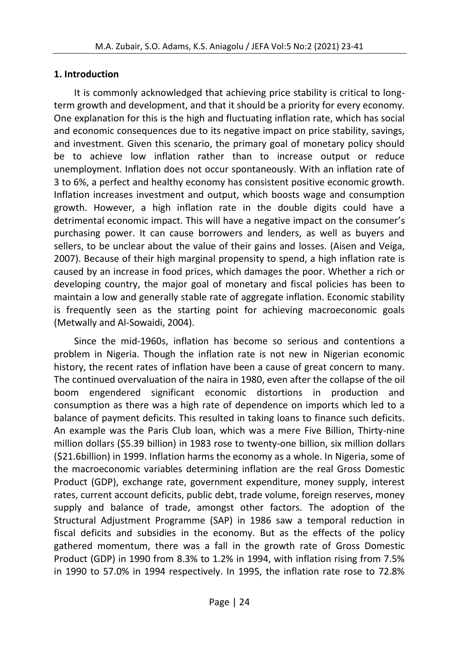## **1. Introduction**

It is commonly acknowledged that achieving price stability is critical to longterm growth and development, and that it should be a priority for every economy. One explanation for this is the high and fluctuating inflation rate, which has social and economic consequences due to its negative impact on price stability, savings, and investment. Given this scenario, the primary goal of monetary policy should be to achieve low inflation rather than to increase output or reduce unemployment. Inflation does not occur spontaneously. With an inflation rate of 3 to 6%, a perfect and healthy economy has consistent positive economic growth. Inflation increases investment and output, which boosts wage and consumption growth. However, a high inflation rate in the double digits could have a detrimental economic impact. This will have a negative impact on the consumer's purchasing power. It can cause borrowers and lenders, as well as buyers and sellers, to be unclear about the value of their gains and losses. (Aisen and Veiga, 2007). Because of their high marginal propensity to spend, a high inflation rate is caused by an increase in food prices, which damages the poor. Whether a rich or developing country, the major goal of monetary and fiscal policies has been to maintain a low and generally stable rate of aggregate inflation. Economic stability is frequently seen as the starting point for achieving macroeconomic goals (Metwally and Al-Sowaidi, 2004).

Since the mid-1960s, inflation has become so serious and contentions a problem in Nigeria. Though the inflation rate is not new in Nigerian economic history, the recent rates of inflation have been a cause of great concern to many. The continued overvaluation of the naira in 1980, even after the collapse of the oil boom engendered significant economic distortions in production and consumption as there was a high rate of dependence on imports which led to a balance of payment deficits. This resulted in taking loans to finance such deficits. An example was the Paris Club loan, which was a mere Five Billion, Thirty-nine million dollars (\$5.39 billion) in 1983 rose to twenty-one billion, six million dollars (\$21.6billion) in 1999. Inflation harms the economy as a whole. In Nigeria, some of the macroeconomic variables determining inflation are the real Gross Domestic Product (GDP), exchange rate, government expenditure, money supply, interest rates, current account deficits, public debt, trade volume, foreign reserves, money supply and balance of trade, amongst other factors. The adoption of the Structural Adjustment Programme (SAP) in 1986 saw a temporal reduction in fiscal deficits and subsidies in the economy. But as the effects of the policy gathered momentum, there was a fall in the growth rate of Gross Domestic Product (GDP) in 1990 from 8.3% to 1.2% in 1994, with inflation rising from 7.5% in 1990 to 57.0% in 1994 respectively. In 1995, the inflation rate rose to 72.8%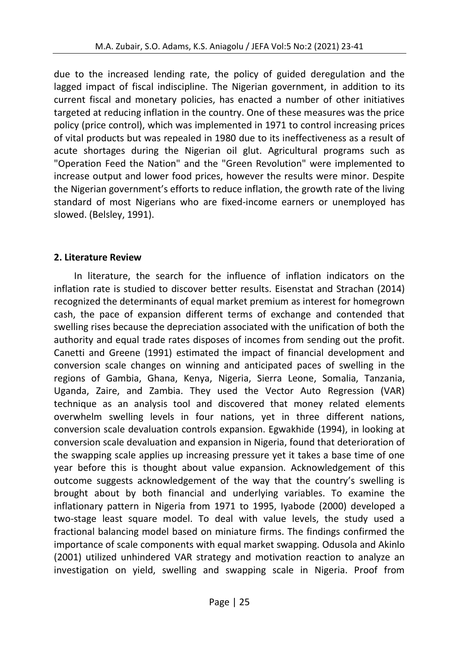due to the increased lending rate, the policy of guided deregulation and the lagged impact of fiscal indiscipline. The Nigerian government, in addition to its current fiscal and monetary policies, has enacted a number of other initiatives targeted at reducing inflation in the country. One of these measures was the price policy (price control), which was implemented in 1971 to control increasing prices of vital products but was repealed in 1980 due to its ineffectiveness as a result of acute shortages during the Nigerian oil glut. Agricultural programs such as "Operation Feed the Nation" and the "Green Revolution" were implemented to increase output and lower food prices, however the results were minor. Despite the Nigerian government's efforts to reduce inflation, the growth rate of the living standard of most Nigerians who are fixed-income earners or unemployed has slowed. (Belsley, 1991).

#### **2. Literature Review**

In literature, the search for the influence of inflation indicators on the inflation rate is studied to discover better results. Eisenstat and Strachan (2014) recognized the determinants of equal market premium as interest for homegrown cash, the pace of expansion different terms of exchange and contended that swelling rises because the depreciation associated with the unification of both the authority and equal trade rates disposes of incomes from sending out the profit. Canetti and Greene (1991) estimated the impact of financial development and conversion scale changes on winning and anticipated paces of swelling in the regions of Gambia, Ghana, Kenya, Nigeria, Sierra Leone, Somalia, Tanzania, Uganda, Zaire, and Zambia. They used the Vector Auto Regression (VAR) technique as an analysis tool and discovered that money related elements overwhelm swelling levels in four nations, yet in three different nations, conversion scale devaluation controls expansion. Egwakhide (1994), in looking at conversion scale devaluation and expansion in Nigeria, found that deterioration of the swapping scale applies up increasing pressure yet it takes a base time of one year before this is thought about value expansion. Acknowledgement of this outcome suggests acknowledgement of the way that the country's swelling is brought about by both financial and underlying variables. To examine the inflationary pattern in Nigeria from 1971 to 1995, Iyabode (2000) developed a two-stage least square model. To deal with value levels, the study used a fractional balancing model based on miniature firms. The findings confirmed the importance of scale components with equal market swapping. Odusola and Akinlo (2001) utilized unhindered VAR strategy and motivation reaction to analyze an investigation on yield, swelling and swapping scale in Nigeria. Proof from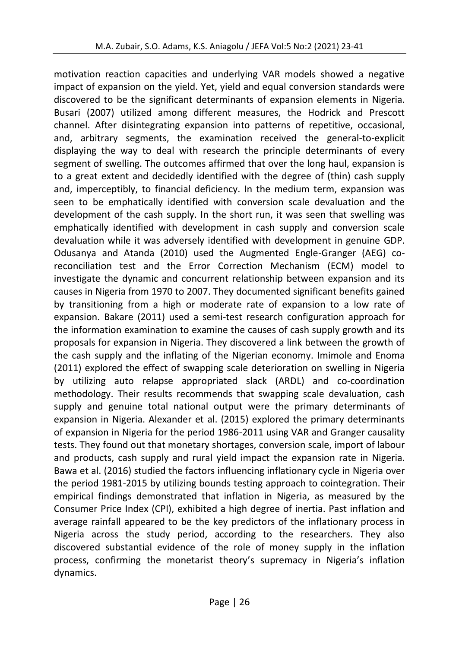motivation reaction capacities and underlying VAR models showed a negative impact of expansion on the yield. Yet, yield and equal conversion standards were discovered to be the significant determinants of expansion elements in Nigeria. Busari (2007) utilized among different measures, the Hodrick and Prescott channel. After disintegrating expansion into patterns of repetitive, occasional, and, arbitrary segments, the examination received the general-to-explicit displaying the way to deal with research the principle determinants of every segment of swelling. The outcomes affirmed that over the long haul, expansion is to a great extent and decidedly identified with the degree of (thin) cash supply and, imperceptibly, to financial deficiency. In the medium term, expansion was seen to be emphatically identified with conversion scale devaluation and the development of the cash supply. In the short run, it was seen that swelling was emphatically identified with development in cash supply and conversion scale devaluation while it was adversely identified with development in genuine GDP. Odusanya and Atanda (2010) used the Augmented Engle-Granger (AEG) coreconciliation test and the Error Correction Mechanism (ECM) model to investigate the dynamic and concurrent relationship between expansion and its causes in Nigeria from 1970 to 2007. They documented significant benefits gained by transitioning from a high or moderate rate of expansion to a low rate of expansion. Bakare (2011) used a semi-test research configuration approach for the information examination to examine the causes of cash supply growth and its proposals for expansion in Nigeria. They discovered a link between the growth of the cash supply and the inflating of the Nigerian economy. Imimole and Enoma (2011) explored the effect of swapping scale deterioration on swelling in Nigeria by utilizing auto relapse appropriated slack (ARDL) and co-coordination methodology. Their results recommends that swapping scale devaluation, cash supply and genuine total national output were the primary determinants of expansion in Nigeria. Alexander et al. (2015) explored the primary determinants of expansion in Nigeria for the period 1986-2011 using VAR and Granger causality tests. They found out that monetary shortages, conversion scale, import of labour and products, cash supply and rural yield impact the expansion rate in Nigeria. Bawa et al. (2016) studied the factors influencing inflationary cycle in Nigeria over the period 1981-2015 by utilizing bounds testing approach to cointegration. Their empirical findings demonstrated that inflation in Nigeria, as measured by the Consumer Price Index (CPI), exhibited a high degree of inertia. Past inflation and average rainfall appeared to be the key predictors of the inflationary process in Nigeria across the study period, according to the researchers. They also discovered substantial evidence of the role of money supply in the inflation process, confirming the monetarist theory's supremacy in Nigeria's inflation dynamics.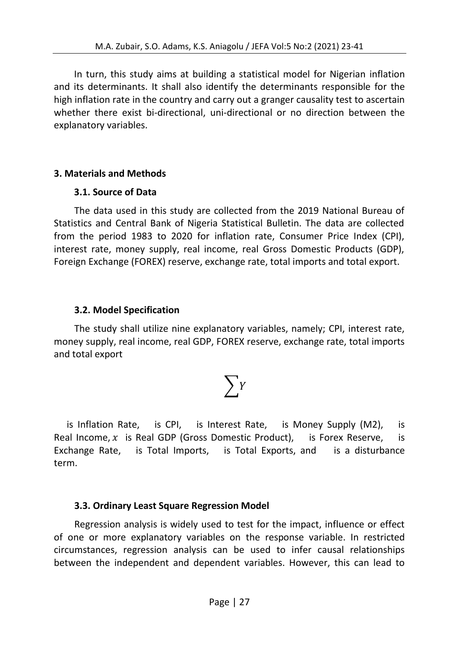In turn, this study aims at building a statistical model for Nigerian inflation and its determinants. It shall also identify the determinants responsible for the high inflation rate in the country and carry out a granger causality test to ascertain whether there exist bi-directional, uni-directional or no direction between the explanatory variables.

## **3. Materials and Methods**

#### **3.1. Source of Data**

The data used in this study are collected from the 2019 National Bureau of Statistics and Central Bank of Nigeria Statistical Bulletin. The data are collected from the period 1983 to 2020 for inflation rate, Consumer Price Index (CPI), interest rate, money supply, real income, real Gross Domestic Products (GDP), Foreign Exchange (FOREX) reserve, exchange rate, total imports and total export.

#### **3.2. Model Specification**

The study shall utilize nine explanatory variables, namely; CPI, interest rate, money supply, real income, real GDP, FOREX reserve, exchange rate, total imports and total export

# $\sum Y$

is Inflation Rate, is CPI, is Interest Rate, is Money Supply (M2), is Real Income,  $x$  is Real GDP (Gross Domestic Product), is Forex Reserve, is Exchange Rate, is Total Imports, is Total Exports, and is a disturbance term.

## **3.3. Ordinary Least Square Regression Model**

Regression analysis is widely used to test for the impact, influence or effect of one or more explanatory variables on the response variable. In restricted circumstances, regression analysis can be used to infer causal relationships between the independent and dependent variables. However, this can lead to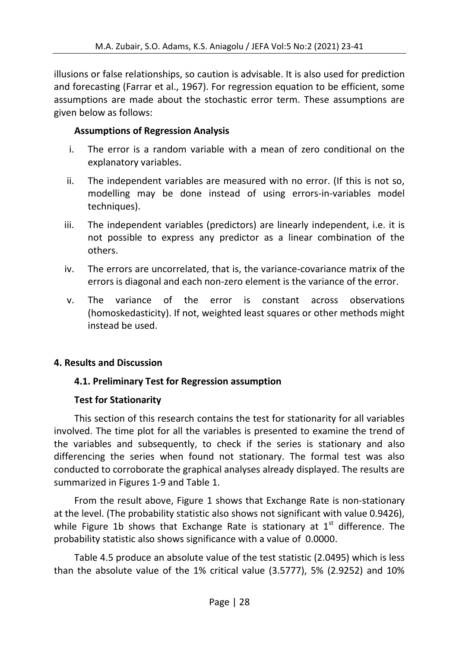illusions or false relationships, so caution is advisable. It is also used for prediction and forecasting (Farrar et al., 1967). For regression equation to be efficient, some assumptions are made about the stochastic error term. These assumptions are given below as follows:

## **Assumptions of Regression Analysis**

- i. The error is a random variable with a mean of zero conditional on the explanatory variables.
- ii. The independent variables are measured with no error. (If this is not so, modelling may be done instead of using errors-in-variables model techniques).
- iii. The independent variables (predictors) are linearly independent, i.e. it is not possible to express any predictor as a linear combination of the others.
- iv. The errors are uncorrelated, that is, the variance-covariance matrix of the errors is diagonal and each non-zero element is the variance of the error.
- v. The variance of the error is constant across observations (homoskedasticity). If not, weighted least squares or other methods might instead be used.

## **4. Results and Discussion**

## **4.1. Preliminary Test for Regression assumption**

## **Test for Stationarity**

This section of this research contains the test for stationarity for all variables involved. The time plot for all the variables is presented to examine the trend of the variables and subsequently, to check if the series is stationary and also differencing the series when found not stationary. The formal test was also conducted to corroborate the graphical analyses already displayed. The results are summarized in Figures 1-9 and Table 1.

From the result above, Figure 1 shows that Exchange Rate is non-stationary at the level. (The probability statistic also shows not significant with value 0.9426), while Figure 1b shows that Exchange Rate is stationary at  $1<sup>st</sup>$  difference. The probability statistic also shows significance with a value of 0.0000.

Table 4.5 produce an absolute value of the test statistic (2.0495) which is less than the absolute value of the 1% critical value (3.5777), 5% (2.9252) and 10%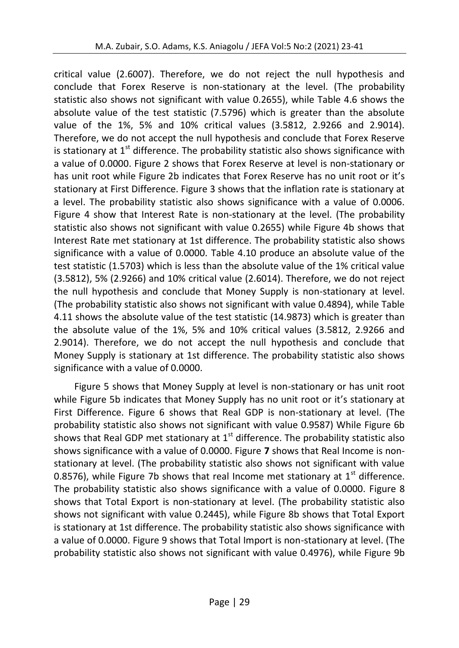critical value (2.6007). Therefore, we do not reject the null hypothesis and conclude that Forex Reserve is non-stationary at the level. (The probability statistic also shows not significant with value 0.2655), while Table 4.6 shows the absolute value of the test statistic (7.5796) which is greater than the absolute value of the 1%, 5% and 10% critical values (3.5812, 2.9266 and 2.9014). Therefore, we do not accept the null hypothesis and conclude that Forex Reserve is stationary at  $1<sup>st</sup>$  difference. The probability statistic also shows significance with a value of 0.0000. Figure 2 shows that Forex Reserve at level is non-stationary or has unit root while Figure 2b indicates that Forex Reserve has no unit root or it's stationary at First Difference. Figure 3 shows that the inflation rate is stationary at a level. The probability statistic also shows significance with a value of 0.0006. Figure 4 show that Interest Rate is non-stationary at the level. (The probability statistic also shows not significant with value 0.2655) while Figure 4b shows that Interest Rate met stationary at 1st difference. The probability statistic also shows significance with a value of 0.0000. Table 4.10 produce an absolute value of the test statistic (1.5703) which is less than the absolute value of the 1% critical value (3.5812), 5% (2.9266) and 10% critical value (2.6014). Therefore, we do not reject the null hypothesis and conclude that Money Supply is non-stationary at level. (The probability statistic also shows not significant with value 0.4894), while Table 4.11 shows the absolute value of the test statistic (14.9873) which is greater than the absolute value of the 1%, 5% and 10% critical values (3.5812, 2.9266 and 2.9014). Therefore, we do not accept the null hypothesis and conclude that Money Supply is stationary at 1st difference. The probability statistic also shows significance with a value of 0.0000.

Figure 5 shows that Money Supply at level is non-stationary or has unit root while Figure 5b indicates that Money Supply has no unit root or it's stationary at First Difference. Figure 6 shows that Real GDP is non-stationary at level. (The probability statistic also shows not significant with value 0.9587) While Figure 6b shows that Real GDP met stationary at  $1<sup>st</sup>$  difference. The probability statistic also shows significance with a value of 0.0000. Figure **7** shows that Real Income is nonstationary at level. (The probability statistic also shows not significant with value 0.8576), while Figure 7b shows that real Income met stationary at  $1<sup>st</sup>$  difference. The probability statistic also shows significance with a value of 0.0000. Figure 8 shows that Total Export is non-stationary at level. (The probability statistic also shows not significant with value 0.2445), while Figure 8b shows that Total Export is stationary at 1st difference. The probability statistic also shows significance with a value of 0.0000. Figure 9 shows that Total Import is non-stationary at level. (The probability statistic also shows not significant with value 0.4976), while Figure 9b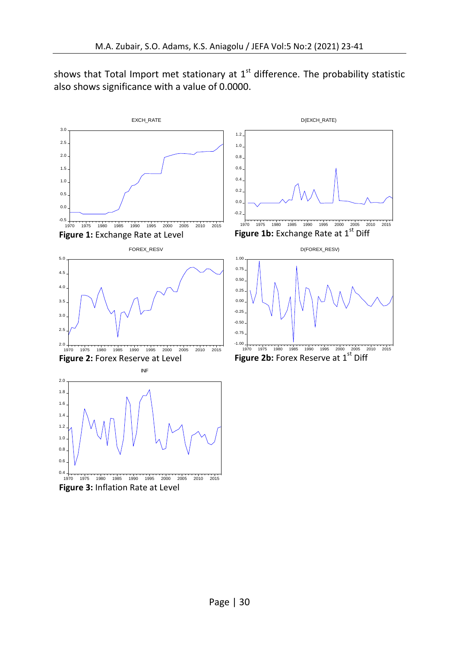shows that Total Import met stationary at  $1<sup>st</sup>$  difference. The probability statistic also shows significance with a value of 0.0000.



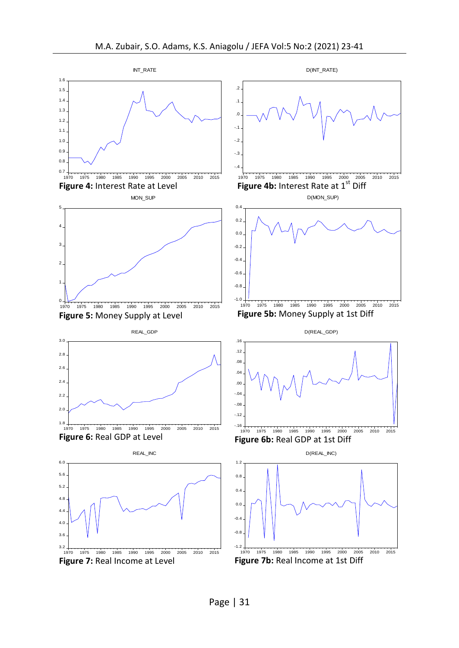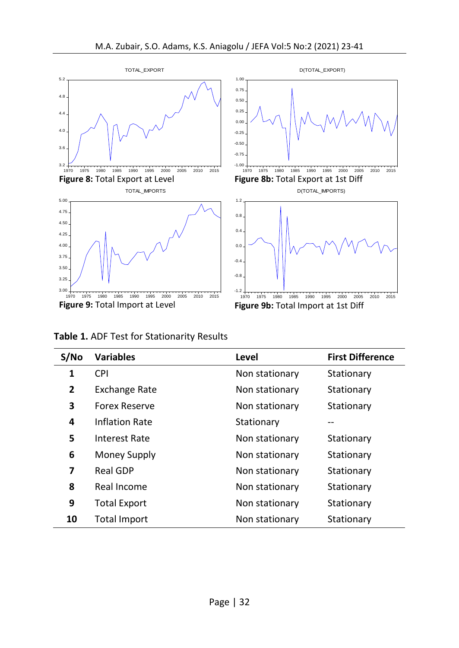

**Table 1.** ADF Test for Stationarity Results

| S/N <sub>O</sub> | <b>Variables</b>     | Level          | <b>First Difference</b> |
|------------------|----------------------|----------------|-------------------------|
| $\mathbf{1}$     | <b>CPI</b>           | Non stationary | Stationary              |
| $\mathbf{2}$     | <b>Exchange Rate</b> | Non stationary | Stationary              |
| 3                | <b>Forex Reserve</b> | Non stationary | Stationary              |
| 4                | Inflation Rate       | Stationary     |                         |
| 5                | Interest Rate        | Non stationary | Stationary              |
| 6                | Money Supply         | Non stationary | Stationary              |
| 7                | <b>Real GDP</b>      | Non stationary | Stationary              |
| 8                | Real Income          | Non stationary | Stationary              |
| 9                | <b>Total Export</b>  | Non stationary | Stationary              |
| 10               | Total Import         | Non stationary | Stationary              |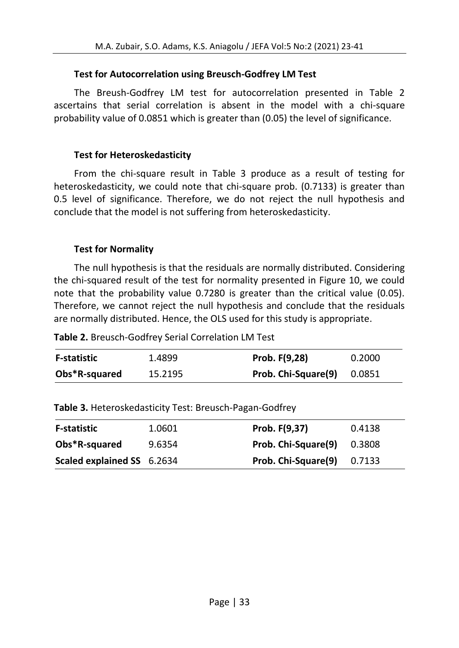## **Test for Autocorrelation using Breusch-Godfrey LM Test**

The Breush-Godfrey LM test for autocorrelation presented in Table 2 ascertains that serial correlation is absent in the model with a chi-square probability value of 0.0851 which is greater than (0.05) the level of significance.

## **Test for Heteroskedasticity**

From the chi-square result in Table 3 produce as a result of testing for heteroskedasticity, we could note that chi-square prob. (0.7133) is greater than 0.5 level of significance. Therefore, we do not reject the null hypothesis and conclude that the model is not suffering from heteroskedasticity.

## **Test for Normality**

The null hypothesis is that the residuals are normally distributed. Considering the chi-squared result of the test for normality presented in Figure 10, we could note that the probability value 0.7280 is greater than the critical value (0.05). Therefore, we cannot reject the null hypothesis and conclude that the residuals are normally distributed. Hence, the OLS used for this study is appropriate.

| <b>F-statistic</b> | 1.4899  | Prob. F(9,28)       | 0.2000 |
|--------------------|---------|---------------------|--------|
| Obs*R-squared      | 15.2195 | Prob. Chi-Square(9) | 0.0851 |

|  | Table 3. Heteroskedasticity Test: Breusch-Pagan-Godfrey |  |
|--|---------------------------------------------------------|--|
|--|---------------------------------------------------------|--|

| <b>F-statistic</b>         | 1.0601 | Prob. F(9,37)       | 0.4138 |
|----------------------------|--------|---------------------|--------|
| Obs*R-squared              | 9.6354 | Prob. Chi-Square(9) | 0.3808 |
| Scaled explained SS 6.2634 |        | Prob. Chi-Square(9) | 0.7133 |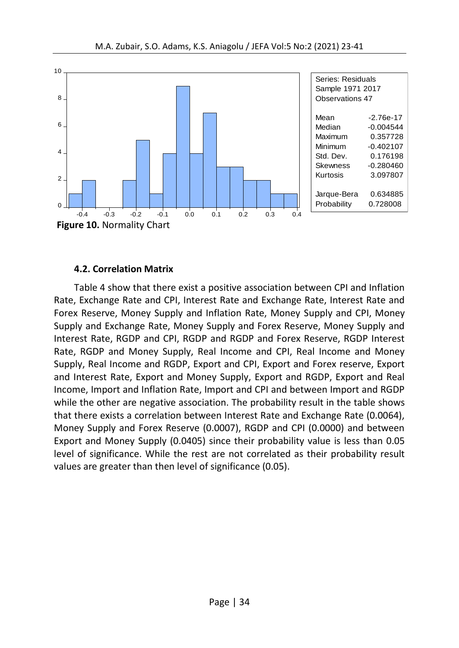

#### **4.2. Correlation Matrix**

Table 4 show that there exist a positive association between CPI and Inflation Rate, Exchange Rate and CPI, Interest Rate and Exchange Rate, Interest Rate and Forex Reserve, Money Supply and Inflation Rate, Money Supply and CPI, Money Supply and Exchange Rate, Money Supply and Forex Reserve, Money Supply and Interest Rate, RGDP and CPI, RGDP and RGDP and Forex Reserve, RGDP Interest Rate, RGDP and Money Supply, Real Income and CPI, Real Income and Money Supply, Real Income and RGDP, Export and CPI, Export and Forex reserve, Export and Interest Rate, Export and Money Supply, Export and RGDP, Export and Real Income, Import and Inflation Rate, Import and CPI and between Import and RGDP while the other are negative association. The probability result in the table shows that there exists a correlation between Interest Rate and Exchange Rate (0.0064), Money Supply and Forex Reserve (0.0007), RGDP and CPI (0.0000) and between Export and Money Supply (0.0405) since their probability value is less than 0.05 level of significance. While the rest are not correlated as their probability result values are greater than then level of significance (0.05).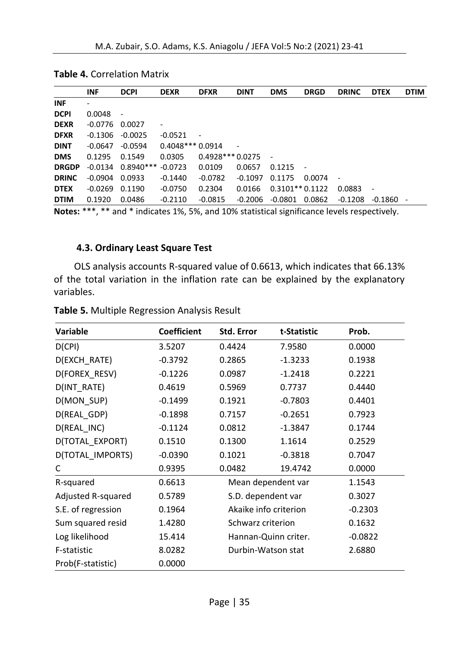|              | INF                | <b>DCPI</b>                                                                                                     | <b>DEXR</b>       | <b>DFXR</b>              | <b>DINT</b> | <b>DMS</b>       | <b>DRGD</b> | <b>DRINC</b>             | <b>DTEX</b> | <b>DTIM</b> |
|--------------|--------------------|-----------------------------------------------------------------------------------------------------------------|-------------------|--------------------------|-------------|------------------|-------------|--------------------------|-------------|-------------|
| <b>INF</b>   | ۰                  |                                                                                                                 |                   |                          |             |                  |             |                          |             |             |
| <b>DCPI</b>  | 0.0048             | $\sim$                                                                                                          |                   |                          |             |                  |             |                          |             |             |
| <b>DEXR</b>  | $-0.0776$ 0.0027   |                                                                                                                 |                   |                          |             |                  |             |                          |             |             |
| <b>DFXR</b>  | $-0.1306$          | $-0.0025$                                                                                                       | $-0.0521$         | $\overline{\phantom{a}}$ |             |                  |             |                          |             |             |
| <b>DINT</b>  | $-0.0647$          | $-0.0594$                                                                                                       | $0.4048***0.0914$ |                          |             |                  |             |                          |             |             |
| <b>DMS</b>   | 0.1295             | 0.1549                                                                                                          | 0.0305            | $0.4928***0.0275$        |             |                  |             |                          |             |             |
| <b>DRGDP</b> |                    | $-0.0134$ $0.8940***$ $-0.0723$                                                                                 |                   | 0.0109                   | 0.0657      | 0.1215           | $\sim$      |                          |             |             |
| <b>DRINC</b> | $-0.0904$ $0.0933$ |                                                                                                                 | $-0.1440$         | $-0.0782$                | $-0.1097$   | 0.1175           | 0.0074      | $\overline{\phantom{a}}$ |             |             |
| <b>DTEX</b>  | $-0.0269$          | 0.1190                                                                                                          | $-0.0750$         | 0.2304                   | 0.0166      | $0.3101**0.1122$ |             | 0.0883                   |             |             |
| <b>DTIM</b>  | 0.1920             | 0.0486                                                                                                          | $-0.2110$         | $-0.0815$                | -0.2006     | -0.0801          | 0.0862      | $-0.1208$                | $-0.1860 -$ |             |
|              |                    | Aliance: 꽃꽃꽃, 꽃꽃 chail 꽃 the discussed AOV, EOV, chail AOOV, chanterised atomities are leaded as accepted atomi |                   |                          |             |                  |             |                          |             |             |

|  | <b>Table 4. Correlation Matrix</b> |  |
|--|------------------------------------|--|
|--|------------------------------------|--|

**Notes:** \*\*\*, \*\* and \* indicates 1%, 5%, and 10% statistical significance levels respectively.

#### **4.3. Ordinary Least Square Test**

OLS analysis accounts R-squared value of 0.6613, which indicates that 66.13% of the total variation in the inflation rate can be explained by the explanatory variables.

| <b>Variable</b>    | <b>Coefficient</b> | Std. Error            | t-Statistic | Prob.     |
|--------------------|--------------------|-----------------------|-------------|-----------|
| D(CPI)             | 3.5207             | 0.4424                | 7.9580      | 0.0000    |
| D(EXCH_RATE)       | $-0.3792$          | 0.2865                | $-1.3233$   | 0.1938    |
| D(FOREX RESV)      | $-0.1226$          | 0.0987                | $-1.2418$   | 0.2221    |
| D(INT RATE)        | 0.4619             | 0.5969                | 0.7737      | 0.4440    |
| D(MON_SUP)         | $-0.1499$          | 0.1921                | $-0.7803$   | 0.4401    |
| D(REAL_GDP)        | $-0.1898$          | 0.7157                | $-0.2651$   | 0.7923    |
| D(REAL INC)        | $-0.1124$          | 0.0812                | -1.3847     | 0.1744    |
| D(TOTAL EXPORT)    | 0.1510             | 0.1300                | 1.1614      | 0.2529    |
| D(TOTAL IMPORTS)   | $-0.0390$          | 0.1021                | $-0.3818$   | 0.7047    |
| C                  | 0.9395             | 0.0482                | 19.4742     | 0.0000    |
| R-squared          | 0.6613             | Mean dependent var    |             | 1.1543    |
| Adjusted R-squared | 0.5789             | S.D. dependent var    |             | 0.3027    |
| S.E. of regression | 0.1964             | Akaike info criterion |             | $-0.2303$ |
| Sum squared resid  | 1.4280             | Schwarz criterion     |             | 0.1632    |
| Log likelihood     | 15.414             | Hannan-Quinn criter.  |             | $-0.0822$ |
| F-statistic        | 8.0282             | Durbin-Watson stat    |             | 2.6880    |
| Prob(F-statistic)  | 0.0000             |                       |             |           |

**Table 5.** Multiple Regression Analysis Result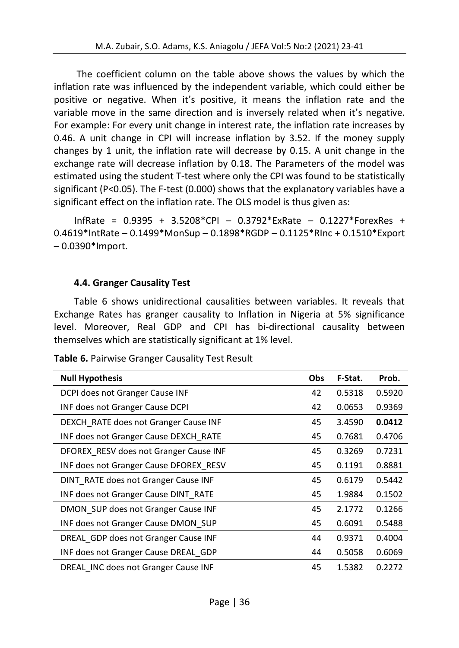The coefficient column on the table above shows the values by which the inflation rate was influenced by the independent variable, which could either be positive or negative. When it's positive, it means the inflation rate and the variable move in the same direction and is inversely related when it's negative. For example: For every unit change in interest rate, the inflation rate increases by 0.46. A unit change in CPI will increase inflation by 3.52. If the money supply changes by 1 unit, the inflation rate will decrease by 0.15. A unit change in the exchange rate will decrease inflation by 0.18. The Parameters of the model was estimated using the student T-test where only the CPI was found to be statistically significant (P<0.05). The F-test (0.000) shows that the explanatory variables have a significant effect on the inflation rate. The OLS model is thus given as:

InfRate = 0.9395 + 3.5208\*CPI – 0.3792\*ExRate – 0.1227\*ForexRes + 0.4619\*IntRate – 0.1499\*MonSup – 0.1898\*RGDP – 0.1125\*RInc + 0.1510\*Export – 0.0390\*Import.

## **4.4. Granger Causality Test**

Table 6 shows unidirectional causalities between variables. It reveals that Exchange Rates has granger causality to Inflation in Nigeria at 5% significance level. Moreover, Real GDP and CPI has bi-directional causality between themselves which are statistically significant at 1% level.

| <b>Null Hypothesis</b>                 | Obs | F-Stat. | Prob.  |
|----------------------------------------|-----|---------|--------|
| DCPI does not Granger Cause INF        | 42  | 0.5318  | 0.5920 |
| INF does not Granger Cause DCPI        | 42  | 0.0653  | 0.9369 |
| DEXCH RATE does not Granger Cause INF  | 45  | 3.4590  | 0.0412 |
| INF does not Granger Cause DEXCH RATE  | 45  | 0.7681  | 0.4706 |
| DFOREX RESV does not Granger Cause INF | 45  | 0.3269  | 0.7231 |
| INF does not Granger Cause DFOREX RESV | 45  | 0.1191  | 0.8881 |
| DINT RATE does not Granger Cause INF   | 45  | 0.6179  | 0.5442 |
| INF does not Granger Cause DINT RATE   | 45  | 1.9884  | 0.1502 |
| DMON SUP does not Granger Cause INF    | 45  | 2.1772  | 0.1266 |
| INF does not Granger Cause DMON SUP    | 45  | 0.6091  | 0.5488 |
| DREAL GDP does not Granger Cause INF   | 44  | 0.9371  | 0.4004 |
| INF does not Granger Cause DREAL GDP   | 44  | 0.5058  | 0.6069 |
| DREAL INC does not Granger Cause INF   | 45  | 1.5382  | 0.2272 |

**Table 6.** Pairwise Granger Causality Test Result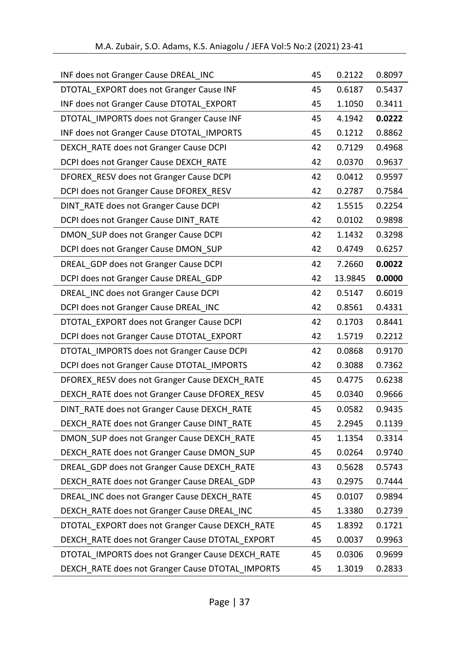| M.A. Zubair, S.O. Adams, K.S. Aniagolu / JEFA Vol:5 No:2 (2021) 23-41 |  |
|-----------------------------------------------------------------------|--|
|-----------------------------------------------------------------------|--|

| INF does not Granger Cause DREAL_INC             | 45 | 0.2122  | 0.8097 |
|--------------------------------------------------|----|---------|--------|
| DTOTAL EXPORT does not Granger Cause INF         | 45 | 0.6187  | 0.5437 |
| INF does not Granger Cause DTOTAL_EXPORT         | 45 | 1.1050  | 0.3411 |
| DTOTAL IMPORTS does not Granger Cause INF        | 45 | 4.1942  | 0.0222 |
| INF does not Granger Cause DTOTAL IMPORTS        | 45 | 0.1212  | 0.8862 |
| DEXCH_RATE does not Granger Cause DCPI           | 42 | 0.7129  | 0.4968 |
| DCPI does not Granger Cause DEXCH_RATE           | 42 | 0.0370  | 0.9637 |
| DFOREX RESV does not Granger Cause DCPI          | 42 | 0.0412  | 0.9597 |
| DCPI does not Granger Cause DFOREX_RESV          | 42 | 0.2787  | 0.7584 |
| DINT_RATE does not Granger Cause DCPI            | 42 | 1.5515  | 0.2254 |
| DCPI does not Granger Cause DINT_RATE            | 42 | 0.0102  | 0.9898 |
| DMON_SUP does not Granger Cause DCPI             | 42 | 1.1432  | 0.3298 |
| DCPI does not Granger Cause DMON_SUP             | 42 | 0.4749  | 0.6257 |
| DREAL GDP does not Granger Cause DCPI            | 42 | 7.2660  | 0.0022 |
| DCPI does not Granger Cause DREAL GDP            | 42 | 13.9845 | 0.0000 |
| DREAL INC does not Granger Cause DCPI            | 42 | 0.5147  | 0.6019 |
| DCPI does not Granger Cause DREAL_INC            | 42 | 0.8561  | 0.4331 |
| DTOTAL EXPORT does not Granger Cause DCPI        | 42 | 0.1703  | 0.8441 |
| DCPI does not Granger Cause DTOTAL_EXPORT        | 42 | 1.5719  | 0.2212 |
| DTOTAL IMPORTS does not Granger Cause DCPI       | 42 | 0.0868  | 0.9170 |
| DCPI does not Granger Cause DTOTAL_IMPORTS       | 42 | 0.3088  | 0.7362 |
| DFOREX RESV does not Granger Cause DEXCH RATE    | 45 | 0.4775  | 0.6238 |
| DEXCH_RATE does not Granger Cause DFOREX_RESV    | 45 | 0.0340  | 0.9666 |
| DINT_RATE does not Granger Cause DEXCH_RATE      | 45 | 0.0582  | 0.9435 |
| DEXCH_RATE does not Granger Cause DINT_RATE      | 45 | 2.2945  | 0.1139 |
| DMON SUP does not Granger Cause DEXCH RATE       | 45 | 1.1354  | 0.3314 |
| DEXCH_RATE does not Granger Cause DMON_SUP       | 45 | 0.0264  | 0.9740 |
| DREAL_GDP does not Granger Cause DEXCH_RATE      | 43 | 0.5628  | 0.5743 |
| DEXCH_RATE does not Granger Cause DREAL_GDP      | 43 | 0.2975  | 0.7444 |
| DREAL_INC does not Granger Cause DEXCH_RATE      | 45 | 0.0107  | 0.9894 |
| DEXCH_RATE does not Granger Cause DREAL_INC      | 45 | 1.3380  | 0.2739 |
| DTOTAL_EXPORT does not Granger Cause DEXCH_RATE  | 45 | 1.8392  | 0.1721 |
| DEXCH_RATE does not Granger Cause DTOTAL_EXPORT  | 45 | 0.0037  | 0.9963 |
| DTOTAL_IMPORTS does not Granger Cause DEXCH_RATE | 45 | 0.0306  | 0.9699 |
| DEXCH_RATE does not Granger Cause DTOTAL_IMPORTS | 45 | 1.3019  | 0.2833 |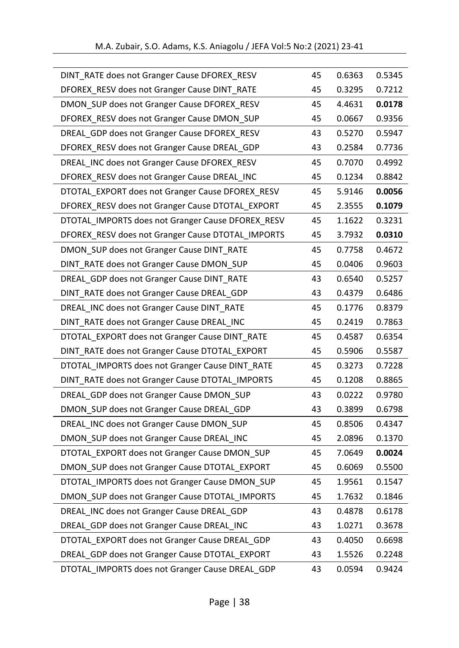| DINT_RATE does not Granger Cause DFOREX_RESV      | 45 | 0.6363 | 0.5345 |
|---------------------------------------------------|----|--------|--------|
| DFOREX_RESV does not Granger Cause DINT_RATE      | 45 | 0.3295 | 0.7212 |
| DMON SUP does not Granger Cause DFOREX RESV       | 45 | 4.4631 | 0.0178 |
| DFOREX RESV does not Granger Cause DMON SUP       | 45 | 0.0667 | 0.9356 |
| DREAL GDP does not Granger Cause DFOREX RESV      | 43 | 0.5270 | 0.5947 |
| DFOREX_RESV does not Granger Cause DREAL_GDP      | 43 | 0.2584 | 0.7736 |
| DREAL_INC does not Granger Cause DFOREX_RESV      | 45 | 0.7070 | 0.4992 |
| DFOREX_RESV does not Granger Cause DREAL_INC      | 45 | 0.1234 | 0.8842 |
| DTOTAL_EXPORT does not Granger Cause DFOREX_RESV  | 45 | 5.9146 | 0.0056 |
| DFOREX_RESV does not Granger Cause DTOTAL_EXPORT  | 45 | 2.3555 | 0.1079 |
| DTOTAL_IMPORTS does not Granger Cause DFOREX_RESV | 45 | 1.1622 | 0.3231 |
| DFOREX_RESV does not Granger Cause DTOTAL_IMPORTS | 45 | 3.7932 | 0.0310 |
| DMON_SUP does not Granger Cause DINT_RATE         | 45 | 0.7758 | 0.4672 |
| DINT_RATE does not Granger Cause DMON_SUP         | 45 | 0.0406 | 0.9603 |
| DREAL GDP does not Granger Cause DINT RATE        | 43 | 0.6540 | 0.5257 |
| DINT_RATE does not Granger Cause DREAL_GDP        | 43 | 0.4379 | 0.6486 |
| DREAL INC does not Granger Cause DINT RATE        | 45 | 0.1776 | 0.8379 |
| DINT_RATE does not Granger Cause DREAL_INC        | 45 | 0.2419 | 0.7863 |
| DTOTAL EXPORT does not Granger Cause DINT RATE    | 45 | 0.4587 | 0.6354 |
| DINT_RATE does not Granger Cause DTOTAL_EXPORT    | 45 | 0.5906 | 0.5587 |
| DTOTAL IMPORTS does not Granger Cause DINT RATE   | 45 | 0.3273 | 0.7228 |
| DINT_RATE does not Granger Cause DTOTAL_IMPORTS   | 45 | 0.1208 | 0.8865 |
| DREAL_GDP does not Granger Cause DMON_SUP         | 43 | 0.0222 | 0.9780 |
| DMON_SUP does not Granger Cause DREAL_GDP         | 43 | 0.3899 | 0.6798 |
| DREAL_INC does not Granger Cause DMON_SUP         | 45 | 0.8506 | 0.4347 |
| DMON SUP does not Granger Cause DREAL INC         | 45 | 2.0896 | 0.1370 |
| DTOTAL_EXPORT does not Granger Cause DMON_SUP     | 45 | 7.0649 | 0.0024 |
| DMON SUP does not Granger Cause DTOTAL EXPORT     | 45 | 0.6069 | 0.5500 |
| DTOTAL_IMPORTS does not Granger Cause DMON_SUP    | 45 | 1.9561 | 0.1547 |
| DMON_SUP does not Granger Cause DTOTAL_IMPORTS    | 45 | 1.7632 | 0.1846 |
| DREAL INC does not Granger Cause DREAL GDP        | 43 | 0.4878 | 0.6178 |
| DREAL_GDP does not Granger Cause DREAL_INC        | 43 | 1.0271 | 0.3678 |
| DTOTAL_EXPORT does not Granger Cause DREAL_GDP    | 43 | 0.4050 | 0.6698 |
| DREAL_GDP does not Granger Cause DTOTAL_EXPORT    | 43 | 1.5526 | 0.2248 |
| DTOTAL_IMPORTS does not Granger Cause DREAL_GDP   | 43 | 0.0594 | 0.9424 |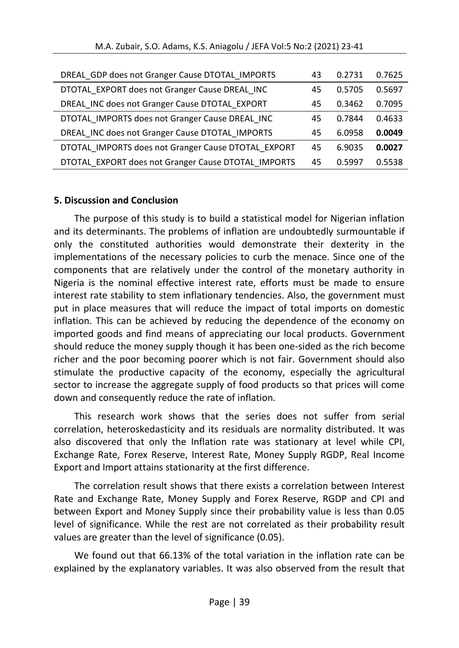| DREAL GDP does not Granger Cause DTOTAL IMPORTS     | 43 | 0.2731 | 0.7625 |
|-----------------------------------------------------|----|--------|--------|
| DTOTAL EXPORT does not Granger Cause DREAL INC      | 45 | 0.5705 | 0.5697 |
| DREAL INC does not Granger Cause DTOTAL EXPORT      | 45 | 0.3462 | 0.7095 |
| DTOTAL IMPORTS does not Granger Cause DREAL INC     | 45 | 0.7844 | 0.4633 |
| DREAL INC does not Granger Cause DTOTAL IMPORTS     | 45 | 6.0958 | 0.0049 |
| DTOTAL IMPORTS does not Granger Cause DTOTAL EXPORT | 45 | 6.9035 | 0.0027 |
| DTOTAL EXPORT does not Granger Cause DTOTAL IMPORTS | 45 | 0.5997 | 0.5538 |

#### **5. Discussion and Conclusion**

The purpose of this study is to build a statistical model for Nigerian inflation and its determinants. The problems of inflation are undoubtedly surmountable if only the constituted authorities would demonstrate their dexterity in the implementations of the necessary policies to curb the menace. Since one of the components that are relatively under the control of the monetary authority in Nigeria is the nominal effective interest rate, efforts must be made to ensure interest rate stability to stem inflationary tendencies. Also, the government must put in place measures that will reduce the impact of total imports on domestic inflation. This can be achieved by reducing the dependence of the economy on imported goods and find means of appreciating our local products. Government should reduce the money supply though it has been one-sided as the rich become richer and the poor becoming poorer which is not fair. Government should also stimulate the productive capacity of the economy, especially the agricultural sector to increase the aggregate supply of food products so that prices will come down and consequently reduce the rate of inflation.

This research work shows that the series does not suffer from serial correlation, heteroskedasticity and its residuals are normality distributed. It was also discovered that only the Inflation rate was stationary at level while CPI, Exchange Rate, Forex Reserve, Interest Rate, Money Supply RGDP, Real Income Export and Import attains stationarity at the first difference.

The correlation result shows that there exists a correlation between Interest Rate and Exchange Rate, Money Supply and Forex Reserve, RGDP and CPI and between Export and Money Supply since their probability value is less than 0.05 level of significance. While the rest are not correlated as their probability result values are greater than the level of significance (0.05).

We found out that 66.13% of the total variation in the inflation rate can be explained by the explanatory variables. It was also observed from the result that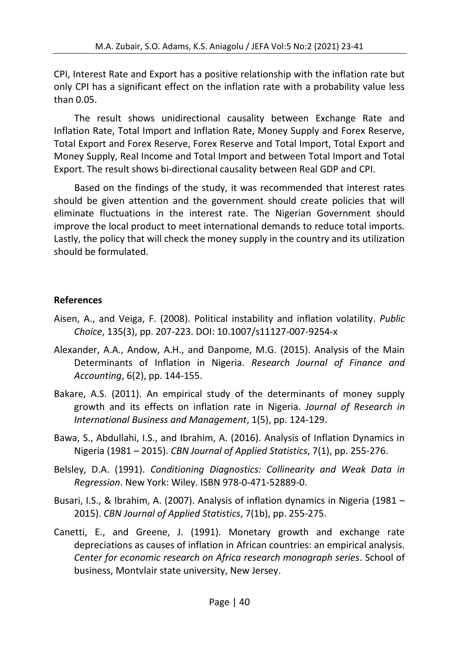CPI, Interest Rate and Export has a positive relationship with the inflation rate but only CPI has a significant effect on the inflation rate with a probability value less than 0.05.

The result shows unidirectional causality between Exchange Rate and Inflation Rate, Total Import and Inflation Rate, Money Supply and Forex Reserve, Total Export and Forex Reserve, Forex Reserve and Total Import, Total Export and Money Supply, Real Income and Total Import and between Total Import and Total Export. The result shows bi-directional causality between Real GDP and CPI.

Based on the findings of the study, it was recommended that interest rates should be given attention and the government should create policies that will eliminate fluctuations in the interest rate. The Nigerian Government should improve the local product to meet international demands to reduce total imports. Lastly, the policy that will check the money supply in the country and its utilization should be formulated.

## **References**

- Aisen, A., and Veiga, F. (2008). Political instability and inflation volatility. *Public Choice*, 135(3), pp. 207-223. DOI: 10.1007/s11127-007-9254-x
- Alexander, A.A., Andow, A.H., and Danpome, M.G. (2015). Analysis of the Main Determinants of Inflation in Nigeria. *Research Journal of Finance and Accounting*, 6(2), pp. 144-155.
- Bakare, A.S. (2011). An empirical study of the determinants of money supply growth and its effects on inflation rate in Nigeria. *Journal of Research in International Business and Management*, 1(5), pp. 124-129.
- Bawa, S., Abdullahi, I.S., and Ibrahim, A. (2016). Analysis of Inflation Dynamics in Nigeria (1981 – 2015). *CBN Journal of Applied Statistics*, 7(1), pp. 255-276.
- Belsley, D.A. (1991). *Conditioning Diagnostics: Collinearity and Weak Data in Regression*. New York: Wiley. ISBN 978-0-471-52889-0.
- Busari, I.S., & Ibrahim, A. (2007). Analysis of inflation dynamics in Nigeria (1981 2015). *CBN Journal of Applied Statistics*, 7(1b), pp. 255-275.
- Canetti, E., and Greene, J. (1991). Monetary growth and exchange rate depreciations as causes of inflation in African countries: an empirical analysis. *Center for economic research on Africa research monograph series*. School of business, Montvlair state university, New Jersey.